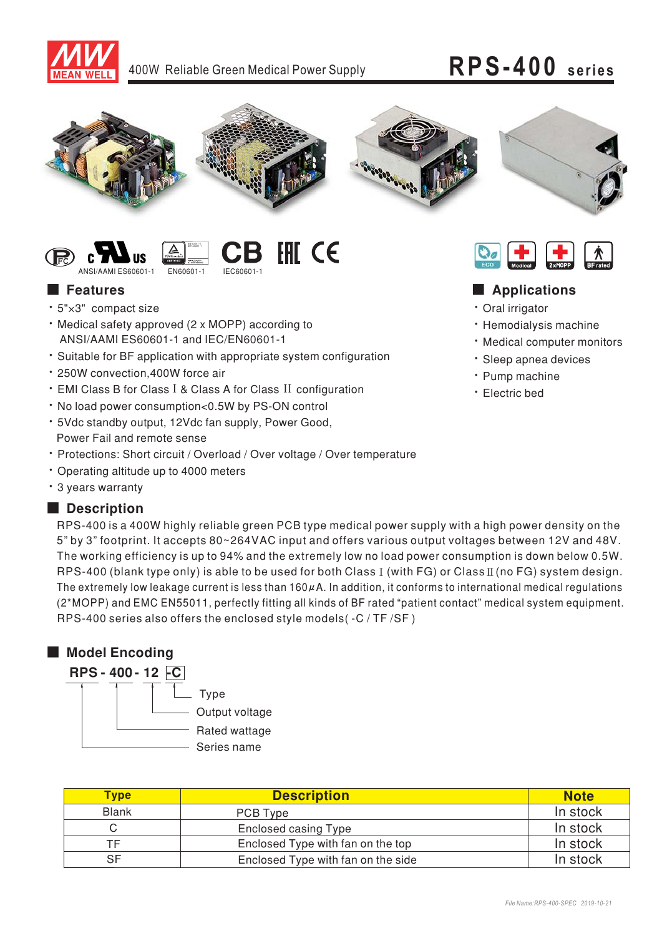

### 400W Reliable Green Medical Power Supply

# RPS-400 series



#### **EHI CE** ANSI/AAMLES60601-1 **EN60601-1** IEC60601-

### **E** Features

- \* 5"×3" compact size
- . Medical safety approved (2 x MOPP) according to ANSI/AAMI ES60601-1 and IEC/EN60601-1
- Suitable for BF application with appropriate system configuration
- · 250W convection 400W force air
- EMI Class B for Class I & Class A for Class II configuration
- . No load power consumption<0.5W by PS-ON control
- \* 5Vdc standby output, 12Vdc fan supply, Power Good, Power Fail and remote sense
- · Protections: Short circuit / Overload / Over voltage / Over temperature
- Operating altitude up to 4000 meters
- \* 3 years warranty

### Description

RPS-400 is a 400W highly reliable green PCB type medical power supply with a high power density on the 5" by 3" footprint. It accepts 80~264VAC input and offers various output voltages between 12V and 48V. The working efficiency is up to 94% and the extremely low no load power consumption is down below 0.5W. RPS-400 (blank type only) is able to be used for both Class I (with FG) or Class II (no FG) system design. The extremely low leakage current is less than 160 $\mu$ A. In addition, it conforms to international medical regulations (2\*MOPP) and EMC EN55011, perfectly fitting all kinds of BF rated "patient contact" medical system equipment. RPS-400 series also offers the enclosed style models(-C/TF/SF)

### Model Encoding



| <b>Type</b>  | <b>Description</b>                 | <b>Note</b> |
|--------------|------------------------------------|-------------|
| <b>Blank</b> | PCB Type                           | In stock    |
| ⌒            | <b>Enclosed casing Type</b>        | In stock    |
| ТF           | Enclosed Type with fan on the top  | In stock    |
| SF           | Enclosed Type with fan on the side | In stock    |



### Applications

- · Oral irrigator
- · Hemodialysis machine
- Medical computer monitors
- · Sleep apnea devices
- · Pump machine
- · Electric bed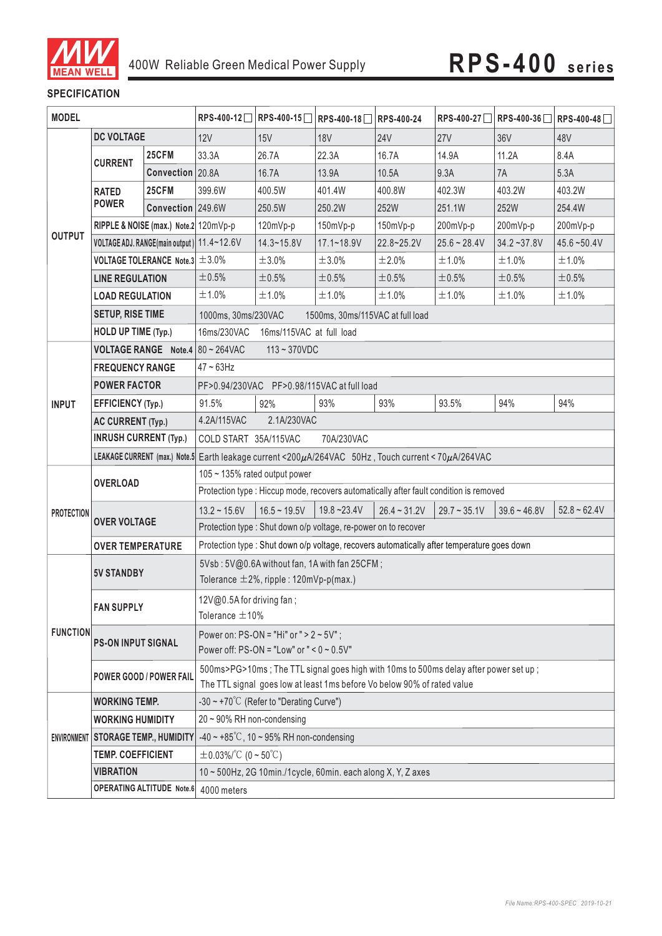

### **SPECIFICATION**

| <b>MODEL</b>      |                                                                        |                   | RPS-400-12□ RPS-400-15□                                                                                                       | RPS-400-18                                           | <b>RPS-400-24</b>                                                                      |                | RPS-400-27 RPS-400-36 | RPS-400-48      |                |  |
|-------------------|------------------------------------------------------------------------|-------------------|-------------------------------------------------------------------------------------------------------------------------------|------------------------------------------------------|----------------------------------------------------------------------------------------|----------------|-----------------------|-----------------|----------------|--|
|                   | <b>DC VOLTAGE</b>                                                      |                   | 12V                                                                                                                           | 15V                                                  | <b>18V</b>                                                                             | <b>24V</b>     | <b>27V</b>            | 36 <sub>V</sub> | 48V            |  |
|                   |                                                                        | 25CFM             | 33.3A                                                                                                                         | 26.7A                                                | 22.3A                                                                                  | 16.7A          | 14.9A                 | 11.2A           | 8.4A           |  |
|                   | <b>CURRENT</b>                                                         | Convection 20.8A  |                                                                                                                               | 16.7A                                                | 13.9A                                                                                  | 10.5A          | 9.3A                  | 7A              | 5.3A           |  |
|                   | <b>RATED</b>                                                           | 25CFM             | 399.6W                                                                                                                        | 400.5W                                               | 401.4W                                                                                 | 400.8W         | 402.3W                | 403.2W          | 403.2W         |  |
|                   | <b>POWER</b>                                                           | Convection 249.6W |                                                                                                                               | 250.5W                                               | 250.2W                                                                                 | 252W           | 251.1W                | 252W            | 254.4W         |  |
|                   | RIPPLE & NOISE (max.) Note.2 120mVp-p                                  |                   |                                                                                                                               | 120mVp-p                                             | 150mVp-p                                                                               | 150mVp-p       | 200mVp-p              | 200mVp-p        | 200mVp-p       |  |
| <b>OUTPUT</b>     | VOLTAGE ADJ. RANGE(main output) 11.4~12.6V                             |                   |                                                                                                                               | $14.3 - 15.8V$                                       | $17.1 - 18.9V$                                                                         | 22.8~25.2V     | $25.6 - 28.4V$        | $34.2 - 37.8V$  | $45.6 - 50.4V$ |  |
|                   | VOLTAGE TOLERANCE Note.3 $\pm$ 3.0%                                    |                   |                                                                                                                               | ±3.0%                                                | ±3.0%                                                                                  | ±2.0%          | ±1.0%                 | ±1.0%           | ±1.0%          |  |
|                   | <b>LINE REGULATION</b>                                                 |                   | ±0.5%                                                                                                                         | $\pm 0.5\%$                                          | ±0.5%                                                                                  | ±0.5%          | ±0.5%                 | ±0.5%           | ±0.5%          |  |
|                   | <b>LOAD REGULATION</b>                                                 |                   | ±1.0%                                                                                                                         | ±1.0%                                                | ±1.0%                                                                                  | ±1.0%          | ±1.0%                 | ±1.0%           | ±1.0%          |  |
|                   | <b>SETUP, RISE TIME</b>                                                |                   | 1000ms, 30ms/230VAC                                                                                                           |                                                      | 1500ms, 30ms/115VAC at full load                                                       |                |                       |                 |                |  |
|                   | HOLD UP TIME (Typ.)                                                    |                   | 16ms/230VAC                                                                                                                   | 16ms/115VAC at full load                             |                                                                                        |                |                       |                 |                |  |
|                   |                                                                        |                   | <b>VOLTAGE RANGE</b> Note.4 80 ~ 264VAC                                                                                       | $113 - 370$ VDC                                      |                                                                                        |                |                       |                 |                |  |
|                   | <b>FREQUENCY RANGE</b>                                                 |                   | $47 \sim 63$ Hz                                                                                                               |                                                      |                                                                                        |                |                       |                 |                |  |
|                   | <b>POWER FACTOR</b>                                                    |                   |                                                                                                                               |                                                      | PF>0.94/230VAC PF>0.98/115VAC at full load                                             |                |                       |                 |                |  |
| <b>INPUT</b>      | <b>EFFICIENCY (Typ.)</b>                                               |                   | 91.5%                                                                                                                         | 92%                                                  | 93%                                                                                    | 93%            | 93.5%                 | 94%             | 94%            |  |
|                   | <b>AC CURRENT (Typ.)</b>                                               |                   | 4.2A/115VAC<br>2.1A/230VAC                                                                                                    |                                                      |                                                                                        |                |                       |                 |                |  |
|                   | <b>INRUSH CURRENT (Typ.)</b>                                           |                   | COLD START 35A/115VAC<br>70A/230VAC                                                                                           |                                                      |                                                                                        |                |                       |                 |                |  |
|                   |                                                                        |                   | LEAKAGE CURRENT (max.) Note.5 Earth leakage current <200µA/264VAC 50Hz, Touch current < 70µA/264VAC                           |                                                      |                                                                                        |                |                       |                 |                |  |
|                   | <b>OVERLOAD</b>                                                        |                   | 105 ~ 135% rated output power                                                                                                 |                                                      |                                                                                        |                |                       |                 |                |  |
|                   |                                                                        |                   |                                                                                                                               |                                                      | Protection type : Hiccup mode, recovers automatically after fault condition is removed |                |                       |                 |                |  |
| <b>PROTECTION</b> |                                                                        |                   | $13.2 \sim 15.6V$                                                                                                             | $16.5 - 19.5V$                                       | $19.8 - 23.4V$                                                                         | $26.4 - 31.2V$ | $29.7 - 35.1V$        | $39.6 - 46.8V$  | $52.8 - 62.4V$ |  |
|                   | <b>OVER VOLTAGE</b>                                                    |                   | Protection type : Shut down o/p voltage, re-power on to recover                                                               |                                                      |                                                                                        |                |                       |                 |                |  |
|                   | <b>OVER TEMPERATURE</b>                                                |                   | Protection type : Shut down o/p voltage, recovers automatically after temperature goes down                                   |                                                      |                                                                                        |                |                       |                 |                |  |
|                   | <b>5V STANDBY</b>                                                      |                   | 5Vsb: 5V@0.6A without fan, 1A with fan 25CFM;                                                                                 |                                                      |                                                                                        |                |                       |                 |                |  |
|                   |                                                                        |                   | Tolerance $\pm 2\%$ , ripple : 120mVp-p(max.)                                                                                 |                                                      |                                                                                        |                |                       |                 |                |  |
|                   | <b>FAN SUPPLY</b>                                                      |                   | $12V@0.5A$ for driving fan;                                                                                                   |                                                      |                                                                                        |                |                       |                 |                |  |
|                   |                                                                        |                   |                                                                                                                               | Tolerance $\pm$ 10%                                  |                                                                                        |                |                       |                 |                |  |
| <b>FUNCTION</b>   | <b>PS-ON INPUT SIGNAL</b>                                              |                   | Power on: $PS-ON = "Hi"$ or $" > 2 ~ 5V"$ ;                                                                                   |                                                      |                                                                                        |                |                       |                 |                |  |
|                   |                                                                        |                   | Power off: PS-ON = "Low" or " < $0 \sim 0.5V$ "                                                                               |                                                      |                                                                                        |                |                       |                 |                |  |
|                   | <b>POWER GOOD / POWER FAIL</b>                                         |                   |                                                                                                                               |                                                      | 500ms>PG>10ms; The TTL signal goes high with 10ms to 500ms delay after power set up;   |                |                       |                 |                |  |
|                   |                                                                        |                   | The TTL signal goes low at least 1ms before Vo below 90% of rated value<br>-30 ~ +70 $^{\circ}$ C (Refer to "Derating Curve") |                                                      |                                                                                        |                |                       |                 |                |  |
|                   | <b>WORKING TEMP.</b>                                                   |                   |                                                                                                                               |                                                      |                                                                                        |                |                       |                 |                |  |
|                   | <b>WORKING HUMIDITY</b>                                                |                   | $20 \sim 90\%$ RH non-condensing                                                                                              | $-40 \sim +85^{\circ}$ C, 10 ~ 95% RH non-condensing |                                                                                        |                |                       |                 |                |  |
|                   | <b>ENVIRONMENT STORAGE TEMP., HUMIDITY</b><br><b>TEMP. COEFFICIENT</b> |                   | $\pm$ 0.03%/°C (0 ~ 50°C)                                                                                                     |                                                      |                                                                                        |                |                       |                 |                |  |
|                   |                                                                        |                   |                                                                                                                               |                                                      |                                                                                        |                |                       |                 |                |  |
|                   |                                                                        |                   |                                                                                                                               |                                                      |                                                                                        |                |                       |                 |                |  |
|                   | <b>VIBRATION</b>                                                       |                   | 10~500Hz, 2G 10min./1cycle, 60min. each along X, Y, Z axes<br>OPERATING ALTITUDE Note.6 4000 meters                           |                                                      |                                                                                        |                |                       |                 |                |  |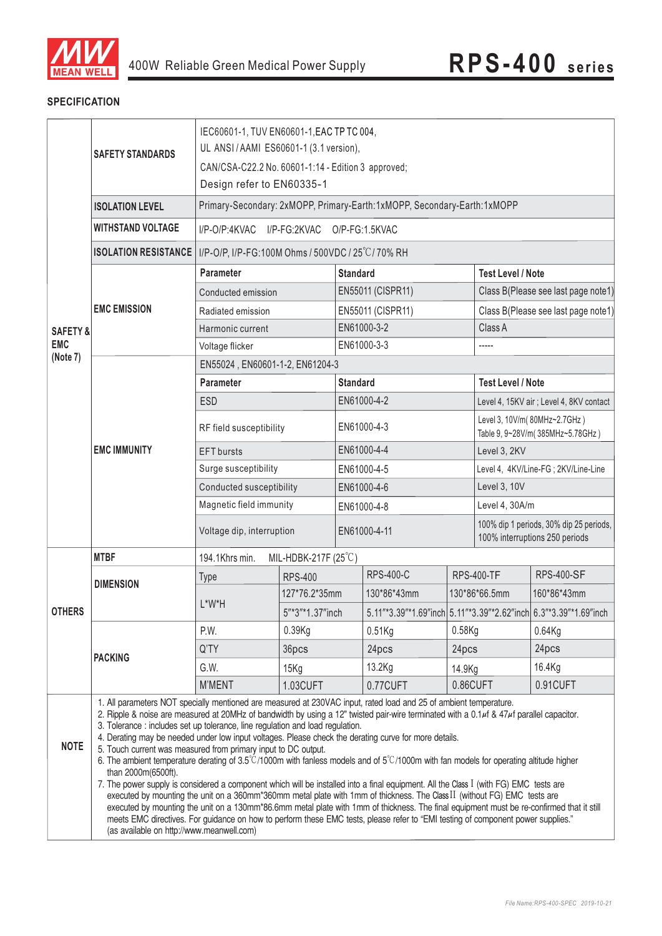

#### **SPECIFICATION**

|                     | <b>SAFETY STANDARDS</b>                                                                                                                                                                                                                                                                                                                                                                                                                                                                                                                                                                                                                                                                                                                                                                                                                                                                                                                                                                                                                                                                                                                                                                                                                                                                                                        |                                                  | IEC60601-1, TUV EN60601-1, EAC TP TC 004,<br>UL ANSI/AAMI ES60601-1 (3.1 version),<br>CAN/CSA-C22.2 No. 60601-1:14 - Edition 3 approved;<br>Design refer to EN60335-1<br>Primary-Secondary: 2xMOPP, Primary-Earth:1xMOPP, Secondary-Earth:1xMOPP |                 |                   |                                                                  |                                                                           |                                                                  |  |
|---------------------|--------------------------------------------------------------------------------------------------------------------------------------------------------------------------------------------------------------------------------------------------------------------------------------------------------------------------------------------------------------------------------------------------------------------------------------------------------------------------------------------------------------------------------------------------------------------------------------------------------------------------------------------------------------------------------------------------------------------------------------------------------------------------------------------------------------------------------------------------------------------------------------------------------------------------------------------------------------------------------------------------------------------------------------------------------------------------------------------------------------------------------------------------------------------------------------------------------------------------------------------------------------------------------------------------------------------------------|--------------------------------------------------|--------------------------------------------------------------------------------------------------------------------------------------------------------------------------------------------------------------------------------------------------|-----------------|-------------------|------------------------------------------------------------------|---------------------------------------------------------------------------|------------------------------------------------------------------|--|
|                     | <b>ISOLATION LEVEL</b>                                                                                                                                                                                                                                                                                                                                                                                                                                                                                                                                                                                                                                                                                                                                                                                                                                                                                                                                                                                                                                                                                                                                                                                                                                                                                                         |                                                  |                                                                                                                                                                                                                                                  |                 |                   |                                                                  |                                                                           |                                                                  |  |
|                     | <b>WITHSTAND VOLTAGE</b>                                                                                                                                                                                                                                                                                                                                                                                                                                                                                                                                                                                                                                                                                                                                                                                                                                                                                                                                                                                                                                                                                                                                                                                                                                                                                                       | $I/P$ -O/P:4KVAC                                 | I/P-FG:2KVAC                                                                                                                                                                                                                                     |                 | O/P-FG:1.5KVAC    |                                                                  |                                                                           |                                                                  |  |
|                     | <b>ISOLATION RESISTANCE</b>                                                                                                                                                                                                                                                                                                                                                                                                                                                                                                                                                                                                                                                                                                                                                                                                                                                                                                                                                                                                                                                                                                                                                                                                                                                                                                    | I/P-O/P, I/P-FG:100M Ohms / 500VDC / 25°C/70% RH |                                                                                                                                                                                                                                                  |                 |                   |                                                                  |                                                                           |                                                                  |  |
|                     |                                                                                                                                                                                                                                                                                                                                                                                                                                                                                                                                                                                                                                                                                                                                                                                                                                                                                                                                                                                                                                                                                                                                                                                                                                                                                                                                | <b>Parameter</b>                                 |                                                                                                                                                                                                                                                  | <b>Standard</b> |                   | <b>Test Level / Note</b>                                         |                                                                           |                                                                  |  |
|                     |                                                                                                                                                                                                                                                                                                                                                                                                                                                                                                                                                                                                                                                                                                                                                                                                                                                                                                                                                                                                                                                                                                                                                                                                                                                                                                                                | Conducted emission                               |                                                                                                                                                                                                                                                  |                 | EN55011 (CISPR11) |                                                                  |                                                                           | Class B(Please see last page note1)                              |  |
|                     | <b>EMC EMISSION</b>                                                                                                                                                                                                                                                                                                                                                                                                                                                                                                                                                                                                                                                                                                                                                                                                                                                                                                                                                                                                                                                                                                                                                                                                                                                                                                            | Radiated emission                                |                                                                                                                                                                                                                                                  |                 | EN55011 (CISPR11) |                                                                  |                                                                           | Class B(Please see last page note1)                              |  |
| <b>SAFETY &amp;</b> |                                                                                                                                                                                                                                                                                                                                                                                                                                                                                                                                                                                                                                                                                                                                                                                                                                                                                                                                                                                                                                                                                                                                                                                                                                                                                                                                | Harmonic current                                 |                                                                                                                                                                                                                                                  |                 | EN61000-3-2       |                                                                  | Class A                                                                   |                                                                  |  |
| <b>EMC</b>          |                                                                                                                                                                                                                                                                                                                                                                                                                                                                                                                                                                                                                                                                                                                                                                                                                                                                                                                                                                                                                                                                                                                                                                                                                                                                                                                                | Voltage flicker                                  |                                                                                                                                                                                                                                                  |                 | EN61000-3-3       |                                                                  |                                                                           |                                                                  |  |
| (Note 7)            |                                                                                                                                                                                                                                                                                                                                                                                                                                                                                                                                                                                                                                                                                                                                                                                                                                                                                                                                                                                                                                                                                                                                                                                                                                                                                                                                | EN55024, EN60601-1-2, EN61204-3                  |                                                                                                                                                                                                                                                  |                 |                   |                                                                  |                                                                           |                                                                  |  |
|                     |                                                                                                                                                                                                                                                                                                                                                                                                                                                                                                                                                                                                                                                                                                                                                                                                                                                                                                                                                                                                                                                                                                                                                                                                                                                                                                                                | <b>Parameter</b>                                 |                                                                                                                                                                                                                                                  | <b>Standard</b> |                   |                                                                  | <b>Test Level / Note</b>                                                  |                                                                  |  |
|                     |                                                                                                                                                                                                                                                                                                                                                                                                                                                                                                                                                                                                                                                                                                                                                                                                                                                                                                                                                                                                                                                                                                                                                                                                                                                                                                                                | <b>ESD</b>                                       |                                                                                                                                                                                                                                                  |                 | EN61000-4-2       |                                                                  |                                                                           | Level 4, 15KV air ; Level 4, 8KV contact                         |  |
|                     |                                                                                                                                                                                                                                                                                                                                                                                                                                                                                                                                                                                                                                                                                                                                                                                                                                                                                                                                                                                                                                                                                                                                                                                                                                                                                                                                | RF field susceptibility                          |                                                                                                                                                                                                                                                  |                 | EN61000-4-3       |                                                                  |                                                                           | Level 3, 10V/m(80MHz~2.7GHz)<br>Table 9, 9~28V/m(385MHz~5.78GHz) |  |
|                     | <b>EMC IMMUNITY</b>                                                                                                                                                                                                                                                                                                                                                                                                                                                                                                                                                                                                                                                                                                                                                                                                                                                                                                                                                                                                                                                                                                                                                                                                                                                                                                            | <b>EFT</b> bursts                                |                                                                                                                                                                                                                                                  | EN61000-4-4     |                   |                                                                  | Level 3, 2KV                                                              |                                                                  |  |
|                     |                                                                                                                                                                                                                                                                                                                                                                                                                                                                                                                                                                                                                                                                                                                                                                                                                                                                                                                                                                                                                                                                                                                                                                                                                                                                                                                                | Surge susceptibility                             |                                                                                                                                                                                                                                                  | EN61000-4-5     |                   |                                                                  | Level 4, 4KV/Line-FG; 2KV/Line-Line                                       |                                                                  |  |
|                     |                                                                                                                                                                                                                                                                                                                                                                                                                                                                                                                                                                                                                                                                                                                                                                                                                                                                                                                                                                                                                                                                                                                                                                                                                                                                                                                                | Conducted susceptibility                         |                                                                                                                                                                                                                                                  | EN61000-4-6     |                   | Level 3, 10V                                                     |                                                                           |                                                                  |  |
|                     |                                                                                                                                                                                                                                                                                                                                                                                                                                                                                                                                                                                                                                                                                                                                                                                                                                                                                                                                                                                                                                                                                                                                                                                                                                                                                                                                | Magnetic field immunity                          |                                                                                                                                                                                                                                                  | EN61000-4-8     |                   | Level 4, 30A/m                                                   |                                                                           |                                                                  |  |
|                     |                                                                                                                                                                                                                                                                                                                                                                                                                                                                                                                                                                                                                                                                                                                                                                                                                                                                                                                                                                                                                                                                                                                                                                                                                                                                                                                                | Voltage dip, interruption                        |                                                                                                                                                                                                                                                  | EN61000-4-11    |                   |                                                                  | 100% dip 1 periods, 30% dip 25 periods,<br>100% interruptions 250 periods |                                                                  |  |
|                     | <b>MTBF</b>                                                                                                                                                                                                                                                                                                                                                                                                                                                                                                                                                                                                                                                                                                                                                                                                                                                                                                                                                                                                                                                                                                                                                                                                                                                                                                                    | MIL-HDBK-217F $(25^{\circ}C)$<br>194.1Khrs min.  |                                                                                                                                                                                                                                                  |                 |                   |                                                                  |                                                                           |                                                                  |  |
|                     | <b>DIMENSION</b>                                                                                                                                                                                                                                                                                                                                                                                                                                                                                                                                                                                                                                                                                                                                                                                                                                                                                                                                                                                                                                                                                                                                                                                                                                                                                                               | <b>Type</b>                                      | <b>RPS-400</b>                                                                                                                                                                                                                                   |                 | <b>RPS-400-C</b>  |                                                                  | <b>RPS-400-TF</b>                                                         | <b>RPS-400-SF</b>                                                |  |
|                     |                                                                                                                                                                                                                                                                                                                                                                                                                                                                                                                                                                                                                                                                                                                                                                                                                                                                                                                                                                                                                                                                                                                                                                                                                                                                                                                                | L*W*H                                            | 127*76.2*35mm                                                                                                                                                                                                                                    |                 | 130*86*43mm       | 130*86*66.5mm                                                    |                                                                           | 160*86*43mm                                                      |  |
| <b>OTHERS</b>       |                                                                                                                                                                                                                                                                                                                                                                                                                                                                                                                                                                                                                                                                                                                                                                                                                                                                                                                                                                                                                                                                                                                                                                                                                                                                                                                                |                                                  | 5"*3"*1.37"inch                                                                                                                                                                                                                                  |                 |                   | 5.11"*3.39"*1.69"inch 5.11"*3.39"*2.62"inch 6.3"*3.39"*1.69"inch |                                                                           |                                                                  |  |
|                     |                                                                                                                                                                                                                                                                                                                                                                                                                                                                                                                                                                                                                                                                                                                                                                                                                                                                                                                                                                                                                                                                                                                                                                                                                                                                                                                                | P.W.                                             | 0.39Kg                                                                                                                                                                                                                                           |                 | $0.51$ Kg         | $0.58$ Kg                                                        |                                                                           | $0.64$ Kg                                                        |  |
|                     | <b>PACKING</b>                                                                                                                                                                                                                                                                                                                                                                                                                                                                                                                                                                                                                                                                                                                                                                                                                                                                                                                                                                                                                                                                                                                                                                                                                                                                                                                 | Q'TY                                             | 36pcs                                                                                                                                                                                                                                            |                 | 24pcs             | 24pcs                                                            |                                                                           | 24pcs                                                            |  |
|                     |                                                                                                                                                                                                                                                                                                                                                                                                                                                                                                                                                                                                                                                                                                                                                                                                                                                                                                                                                                                                                                                                                                                                                                                                                                                                                                                                | G.W.                                             | 15Kg                                                                                                                                                                                                                                             |                 | 13.2Kg            | 14.9Kg                                                           |                                                                           | 16.4Kg                                                           |  |
|                     |                                                                                                                                                                                                                                                                                                                                                                                                                                                                                                                                                                                                                                                                                                                                                                                                                                                                                                                                                                                                                                                                                                                                                                                                                                                                                                                                | <b>M'MENT</b>                                    | 1.03CUFT                                                                                                                                                                                                                                         |                 | 0.77CUFT          |                                                                  |                                                                           | 0.91CUFT                                                         |  |
| <b>NOTE</b>         | 0.86CUFT<br>1. All parameters NOT specially mentioned are measured at 230VAC input, rated load and 25 of ambient temperature.<br>2. Ripple & noise are measured at 20MHz of bandwidth by using a 12" twisted pair-wire terminated with a 0.1µf & 47µf parallel capacitor.<br>3. Tolerance : includes set up tolerance, line regulation and load regulation.<br>4. Derating may be needed under low input voltages. Please check the derating curve for more details.<br>5. Touch current was measured from primary input to DC output.<br>6. The ambient temperature derating of $3.5^{\circ}$ C/1000m with fanless models and of $5^{\circ}$ C/1000m with fan models for operating altitude higher<br>than 2000m(6500ft).<br>7. The power supply is considered a component which will be installed into a final equipment. All the Class I (with FG) EMC tests are<br>executed by mounting the unit on a 360mm*360mm metal plate with 1mm of thickness. The Class II (without FG) EMC tests are<br>executed by mounting the unit on a 130mm*86.6mm metal plate with 1mm of thickness. The final equipment must be re-confirmed that it still<br>meets EMC directives. For guidance on how to perform these EMC tests, please refer to "EMI testing of component power supplies."<br>(as available on http://www.meanwell.com) |                                                  |                                                                                                                                                                                                                                                  |                 |                   |                                                                  |                                                                           |                                                                  |  |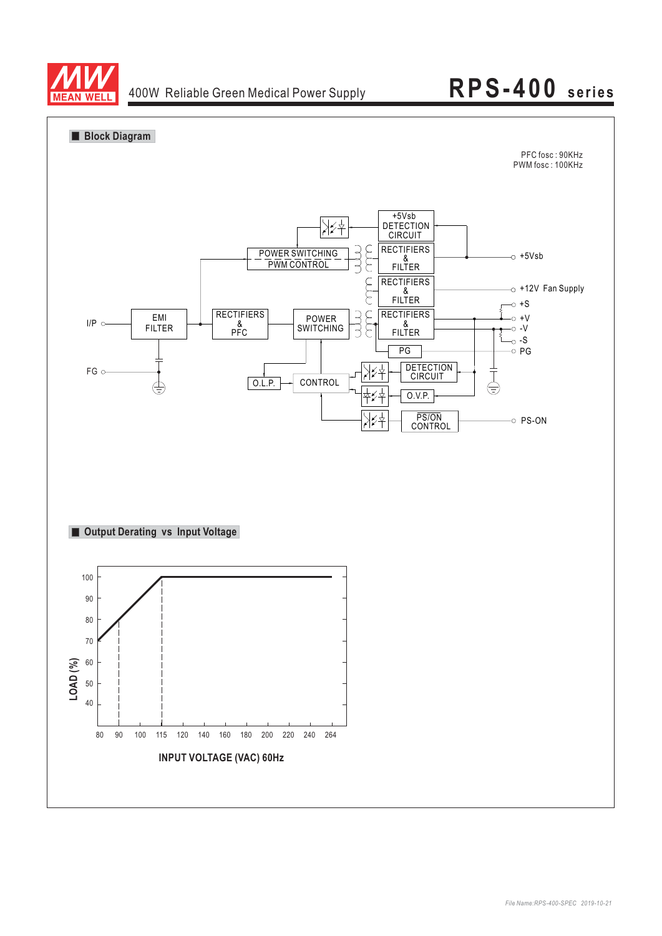

### 400W Reliable Green Medical Power Supply **RPS-400 series**

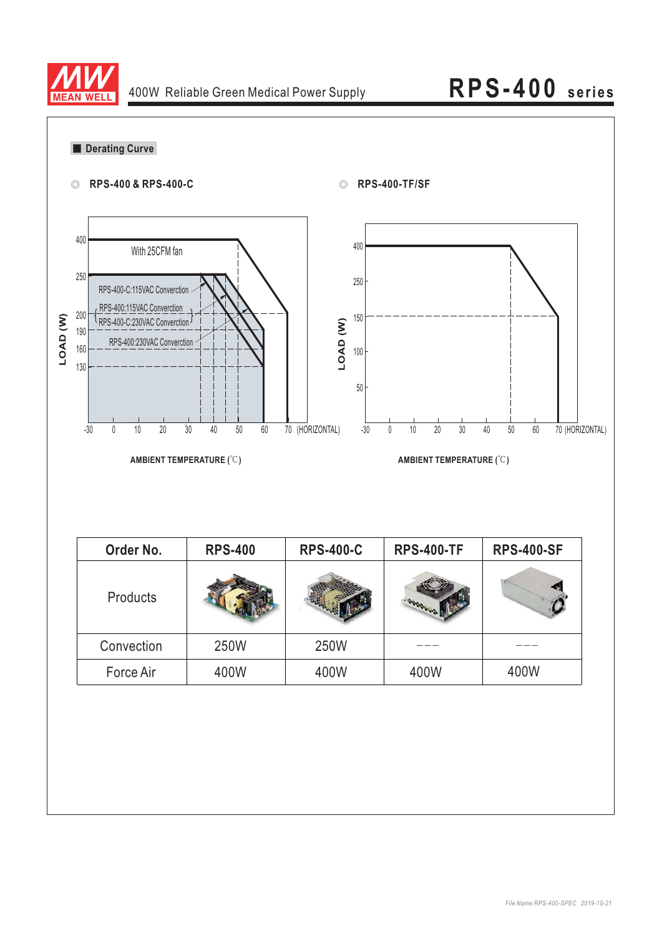

| 0          | RPS-400 & RPS-400-C                                                                   |                            | ⊙                        | <b>RPS-400-TF/SF</b>                                                   |                            |                 |
|------------|---------------------------------------------------------------------------------------|----------------------------|--------------------------|------------------------------------------------------------------------|----------------------------|-----------------|
| 400        | With 25CFM fan                                                                        |                            | 400                      |                                                                        |                            |                 |
| 250        | RPS-400-C:115VAC Converction                                                          |                            | 250                      |                                                                        |                            |                 |
| 200        | RPS-400:115VAC Converction                                                            |                            | 150                      |                                                                        |                            |                 |
| 190<br>160 | RPS-400-C:230VAC Converction J<br>RPS-400:230VAC Converction                          |                            | LOAD (W)                 |                                                                        |                            |                 |
| 130        |                                                                                       |                            | 100                      |                                                                        |                            |                 |
|            |                                                                                       |                            | $50\,$                   |                                                                        |                            |                 |
|            |                                                                                       |                            |                          |                                                                        |                            |                 |
|            | $10\,$<br>$20\,$<br>$30\,$<br>$-30$<br>$\mathbb O$<br><b>AMBIENT TEMPERATURE (°C)</b> | $40\,$<br>$50\,$<br>$60\,$ | 70 (HORIZONTAL)<br>$-30$ | $10$<br>30<br>$\mathbb O$<br>$20\,$<br><b>AMBIENT TEMPERATURE (°C)</b> | $40\,$<br>$60\,$<br>$50\,$ |                 |
|            |                                                                                       |                            |                          |                                                                        |                            |                 |
|            | Order No.                                                                             | <b>RPS-400</b>             | <b>RPS-400-C</b>         | <b>RPS-400-TF</b>                                                      | <b>RPS-400-SF</b>          | 70 (HORIZONTAL) |
|            | Products                                                                              | <b>ANTI DE</b>             | <b>THE REAL PROPERTY</b> |                                                                        |                            |                 |
|            | Convection                                                                            | 250W                       | 250W                     |                                                                        |                            |                 |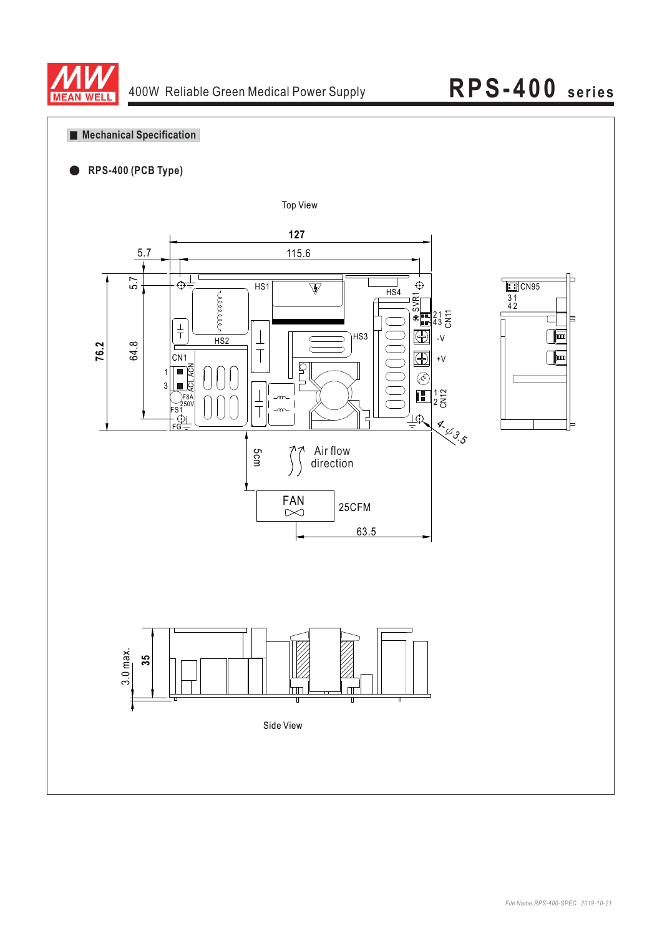

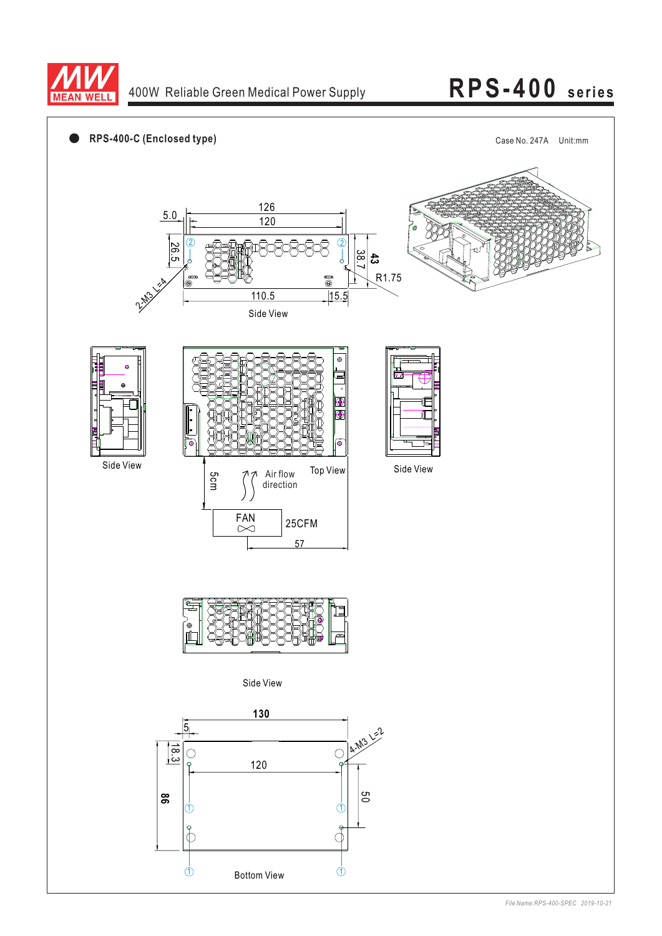

### 400W Reliable Green Medical Power Supply

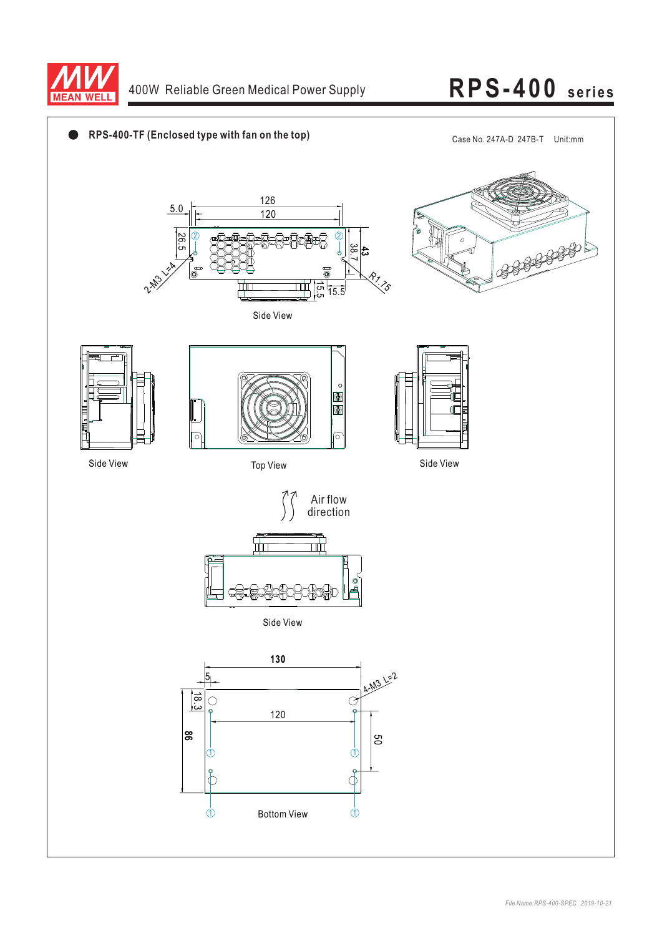

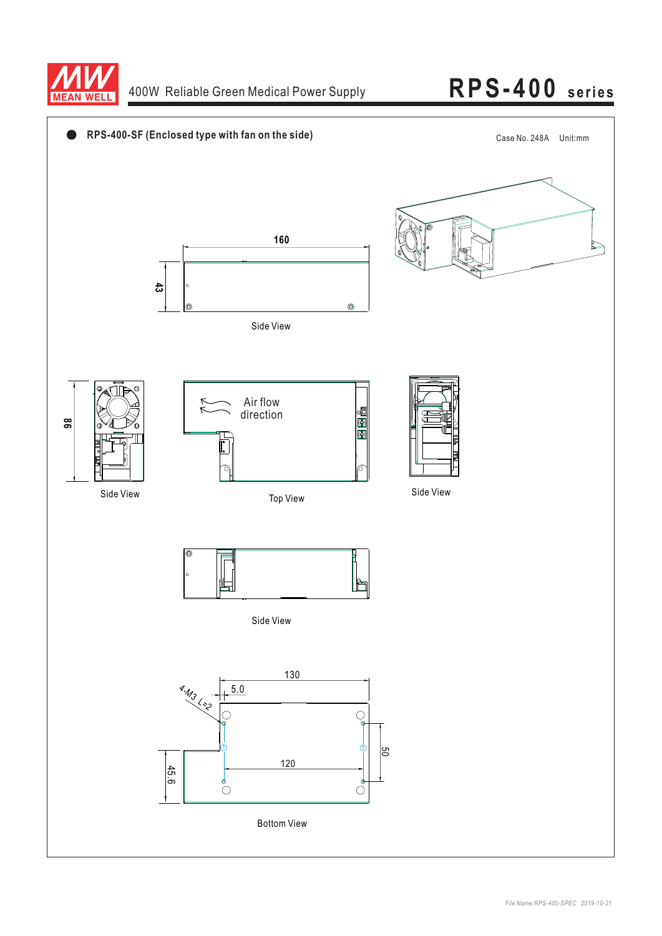